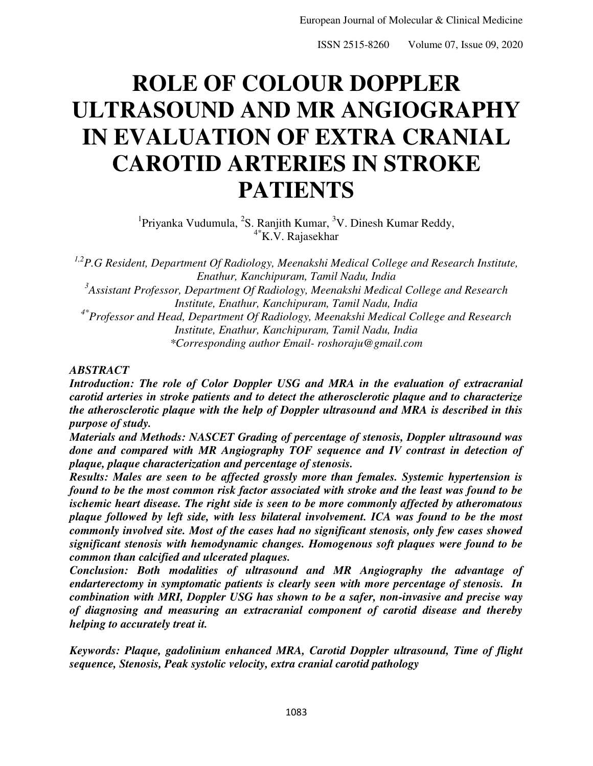# **ROLE OF COLOUR DOPPLER ULTRASOUND AND MR ANGIOGRAPHY IN EVALUATION OF EXTRA CRANIAL CAROTID ARTERIES IN STROKE PATIENTS**

<sup>1</sup> Priyanka Vudumula, <sup>2</sup>S. Ranjith Kumar, <sup>3</sup>V. Dinesh Kumar Reddy,  $4*$ K.V. Rajasekhar

*1,2P.G Resident, Department Of Radiology, Meenakshi Medical College and Research Institute, Enathur, Kanchipuram, Tamil Nadu, India 3 Assistant Professor, Department Of Radiology, Meenakshi Medical College and Research Institute, Enathur, Kanchipuram, Tamil Nadu, India 4\*Professor and Head, Department Of Radiology, Meenakshi Medical College and Research Institute, Enathur, Kanchipuram, Tamil Nadu, India \*Corresponding author Email- roshoraju@gmail.com* 

## *ABSTRACT*

*Introduction: The role of Color Doppler USG and MRA in the evaluation of extracranial carotid arteries in stroke patients and to detect the atherosclerotic plaque and to characterize the atherosclerotic plaque with the help of Doppler ultrasound and MRA is described in this purpose of study.* 

*Materials and Methods: NASCET Grading of percentage of stenosis, Doppler ultrasound was*  done and compared with MR Angiography TOF sequence and IV contrast in detection of *plaque, plaque characterization and percentage of stenosis.* 

*Results: Males are seen to be affected grossly more than females. Systemic hypertension is found to be the most common risk factor associated with stroke and the least was found to be ischemic heart disease. The right side is seen to be more commonly affected by atheromatous plaque followed by left side, with less bilateral involvement. ICA was found to be the most commonly involved site. Most of the cases had no significant stenosis, only few cases showed significant stenosis with hemodynamic changes. Homogenous soft plaques were found to be common than calcified and ulcerated plaques.* 

*Conclusion: Both modalities of ultrasound and MR Angiography the advantage of endarterectomy in symptomatic patients is clearly seen with more percentage of stenosis. In combination with MRI, Doppler USG has shown to be a safer, non-invasive and precise way of diagnosing and measuring an extracranial component of carotid disease and thereby helping to accurately treat it.* 

*Keywords: Plaque, gadolinium enhanced MRA, Carotid Doppler ultrasound, Time of flight sequence, Stenosis, Peak systolic velocity, extra cranial carotid pathology*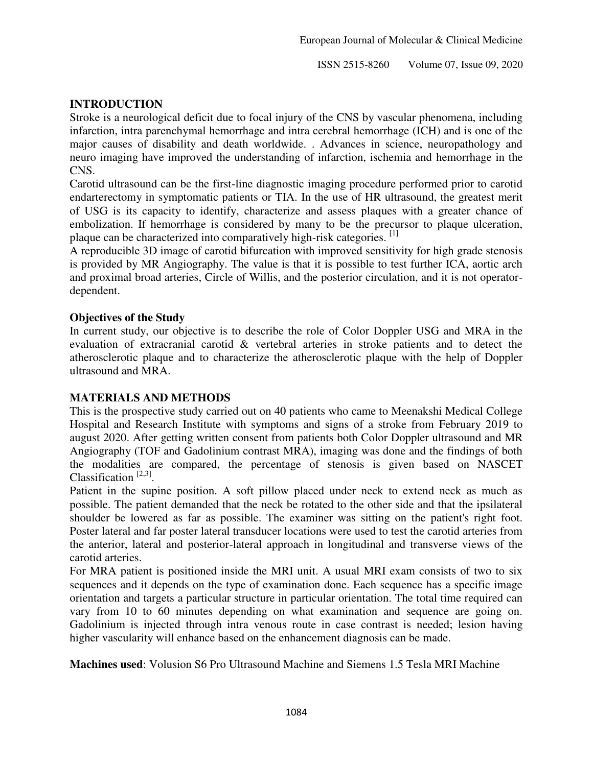# **INTRODUCTION**

Stroke is a neurological deficit due to focal injury of the CNS by vascular phenomena, including infarction, intra parenchymal hemorrhage and intra cerebral hemorrhage (ICH) and is one of the major causes of disability and death worldwide. . Advances in science, neuropathology and neuro imaging have improved the understanding of infarction, ischemia and hemorrhage in the CNS.

Carotid ultrasound can be the first-line diagnostic imaging procedure performed prior to carotid endarterectomy in symptomatic patients or TIA. In the use of HR ultrasound, the greatest merit of USG is its capacity to identify, characterize and assess plaques with a greater chance of embolization. If hemorrhage is considered by many to be the precursor to plaque ulceration, plaque can be characterized into comparatively high-risk categories. [1]

A reproducible 3D image of carotid bifurcation with improved sensitivity for high grade stenosis is provided by MR Angiography. The value is that it is possible to test further ICA, aortic arch and proximal broad arteries, Circle of Willis, and the posterior circulation, and it is not operatordependent.

## **Objectives of the Study**

In current study, our objective is to describe the role of Color Doppler USG and MRA in the evaluation of extracranial carotid & vertebral arteries in stroke patients and to detect the atherosclerotic plaque and to characterize the atherosclerotic plaque with the help of Doppler ultrasound and MRA.

## **MATERIALS AND METHODS**

This is the prospective study carried out on 40 patients who came to Meenakshi Medical College Hospital and Research Institute with symptoms and signs of a stroke from February 2019 to august 2020. After getting written consent from patients both Color Doppler ultrasound and MR Angiography (TOF and Gadolinium contrast MRA), imaging was done and the findings of both the modalities are compared, the percentage of stenosis is given based on NASCET Classification<sup> $[2,3]$ </sup>.

Patient in the supine position. A soft pillow placed under neck to extend neck as much as possible. The patient demanded that the neck be rotated to the other side and that the ipsilateral shoulder be lowered as far as possible. The examiner was sitting on the patient's right foot. Poster lateral and far poster lateral transducer locations were used to test the carotid arteries from the anterior, lateral and posterior-lateral approach in longitudinal and transverse views of the carotid arteries.

For MRA patient is positioned inside the MRI unit. A usual MRI exam consists of two to six sequences and it depends on the type of examination done. Each sequence has a specific image orientation and targets a particular structure in particular orientation. The total time required can vary from 10 to 60 minutes depending on what examination and sequence are going on. Gadolinium is injected through intra venous route in case contrast is needed; lesion having higher vascularity will enhance based on the enhancement diagnosis can be made.

**Machines used**: Volusion S6 Pro Ultrasound Machine and Siemens 1.5 Tesla MRI Machine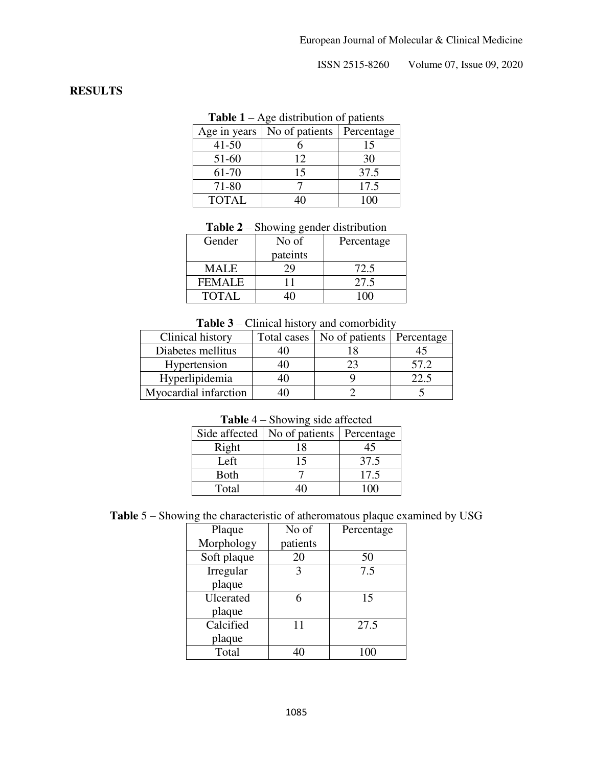## **RESULTS**

| <b>Table 1</b> – Age distribution of patients |  |
|-----------------------------------------------|--|
|-----------------------------------------------|--|

| Age in years | No of patients | Percentage |
|--------------|----------------|------------|
| $41 - 50$    |                | 15         |
| 51-60        | 12             | 30         |
| 61-70        | 15             | 37.5       |
| 71-80        |                | 17.5       |
| <b>TOTAL</b> |                | 100        |

| <b>Table 2</b> – Showing gender distribution |  |
|----------------------------------------------|--|
|----------------------------------------------|--|

| Gender        | No of    | Percentage |
|---------------|----------|------------|
|               | pateints |            |
| <b>MALE</b>   |          | 72.5       |
| <b>FEMALE</b> |          | 27.5       |
| <b>TOTAL</b>  |          |            |

#### **Table 3** – Clinical history and comorbidity

| Clinical history      | Total cases | No of patients | Percentage |
|-----------------------|-------------|----------------|------------|
| Diabetes mellitus     |             |                |            |
| Hypertension          |             |                | 57.2       |
| Hyperlipidemia        |             |                |            |
| Myocardial infarction |             |                |            |

# **Table** 4 – Showing side affected

| Side affected | No of patients | Percentage |
|---------------|----------------|------------|
| Right         | 18             |            |
| Left          |                | 37.5       |
| <b>Both</b>   |                | 17.5       |
| Total         |                |            |

|  |  | <b>Table</b> $5$ – Showing the characteristic of atheromatous plaque examined by USG |
|--|--|--------------------------------------------------------------------------------------|
|  |  |                                                                                      |

| Plaque      | No of    | Percentage |
|-------------|----------|------------|
| Morphology  | patients |            |
| Soft plaque | 20       | 50         |
| Irregular   | 3        | 7.5        |
| plaque      |          |            |
| Ulcerated   | 6        | 15         |
| plaque      |          |            |
| Calcified   | 11       | 27.5       |
| plaque      |          |            |
| Total       | 40       | 100        |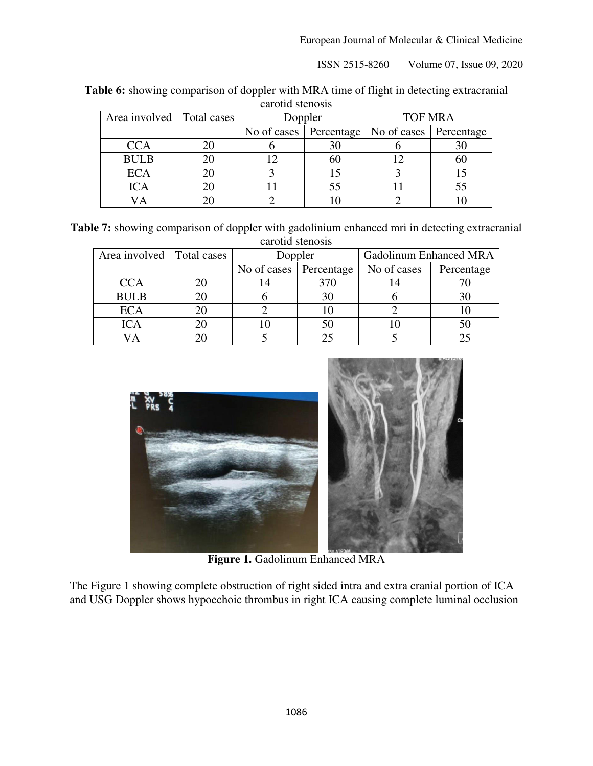| carotid stenosis            |  |         |    |                                                     |    |
|-----------------------------|--|---------|----|-----------------------------------------------------|----|
| Area involved   Total cases |  | Doppler |    | <b>TOF MRA</b>                                      |    |
|                             |  |         |    | No of cases   Percentage   No of cases   Percentage |    |
| <b>CCA</b>                  |  |         | 30 |                                                     | 30 |
| <b>BULB</b>                 |  |         | 60 |                                                     | 60 |
| <b>ECA</b>                  |  |         |    |                                                     |    |
| <b>ICA</b>                  |  |         | 55 |                                                     | 55 |
|                             |  |         |    |                                                     |    |

Table 6: showing comparison of doppler with MRA time of flight in detecting extracranial carotid stenosis

**Table 7:** showing comparison of doppler with gadolinium enhanced mri in detecting extracranial carotid stenosis

| Area involved   Total cases | Doppler                  |  | <b>Gadolinum Enhanced MRA</b> |            |
|-----------------------------|--------------------------|--|-------------------------------|------------|
|                             | No of cases   Percentage |  | No of cases                   | Percentage |
| <b>CCA</b>                  |                          |  |                               |            |
| <b>BULB</b>                 |                          |  |                               | 30         |
| <b>ECA</b>                  |                          |  |                               |            |
| <b>ICA</b>                  |                          |  |                               | 50         |
|                             |                          |  |                               |            |



**Figure 1.** Gadolinum Enhanced MRA

The Figure 1 showing complete obstruction of right sided intra and extra cranial portion of ICA and USG Doppler shows hypoechoic thrombus in right ICA causing complete luminal occlusion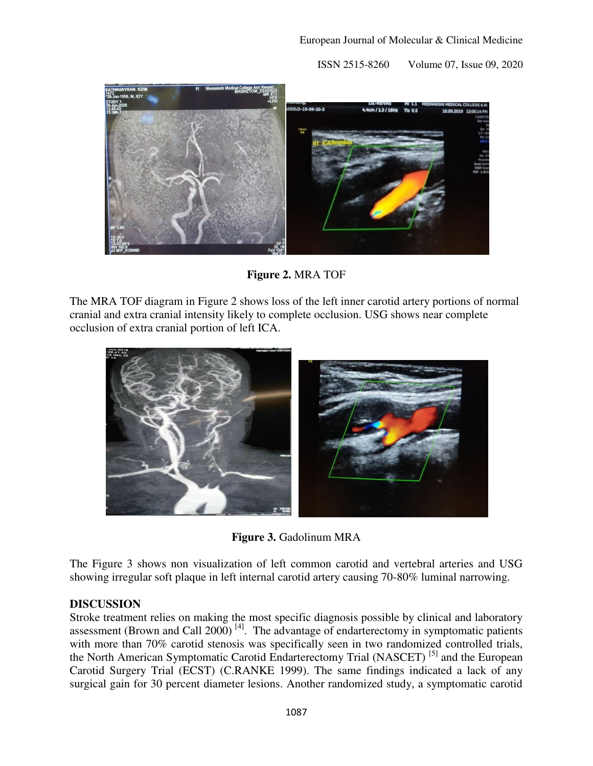

**Figure 2.** MRA TOF

The MRA TOF diagram in Figure 2 shows loss of the left inner carotid artery portions of normal cranial and extra cranial intensity likely to complete occlusion. USG shows near complete occlusion of extra cranial portion of left ICA.



**Figure 3.** Gadolinum MRA

The Figure 3 shows non visualization of left common carotid and vertebral arteries and USG showing irregular soft plaque in left internal carotid artery causing 70-80% luminal narrowing.

## **DISCUSSION**

Stroke treatment relies on making the most specific diagnosis possible by clinical and laboratory assessment (Brown and Call  $2000$ )<sup>[4]</sup>. The advantage of endarterectomy in symptomatic patients with more than 70% carotid stenosis was specifically seen in two randomized controlled trials, the North American Symptomatic Carotid Endarterectomy Trial (NASCET) [5] and the European Carotid Surgery Trial (ECST) (C.RANKE 1999). The same findings indicated a lack of any surgical gain for 30 percent diameter lesions. Another randomized study, a symptomatic carotid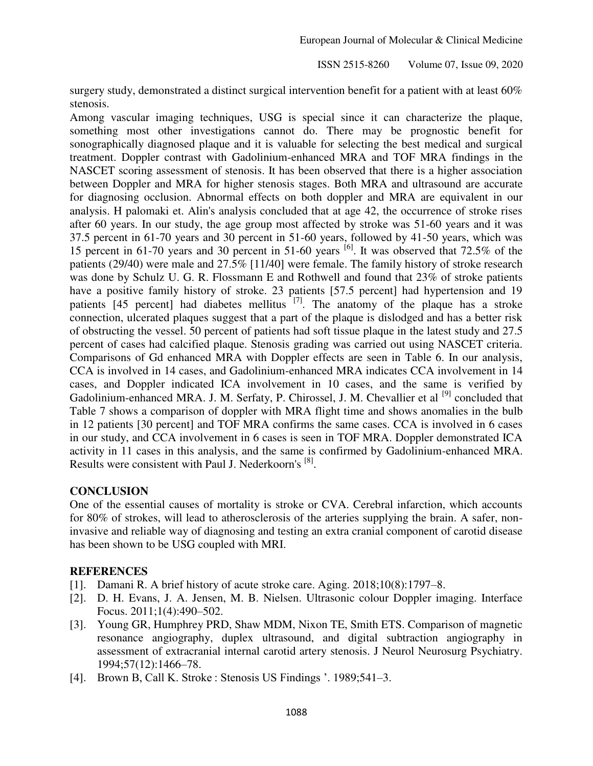surgery study, demonstrated a distinct surgical intervention benefit for a patient with at least 60% stenosis.

Among vascular imaging techniques, USG is special since it can characterize the plaque, something most other investigations cannot do. There may be prognostic benefit for sonographically diagnosed plaque and it is valuable for selecting the best medical and surgical treatment. Doppler contrast with Gadolinium-enhanced MRA and TOF MRA findings in the NASCET scoring assessment of stenosis. It has been observed that there is a higher association between Doppler and MRA for higher stenosis stages. Both MRA and ultrasound are accurate for diagnosing occlusion. Abnormal effects on both doppler and MRA are equivalent in our analysis. H palomaki et. Alin's analysis concluded that at age 42, the occurrence of stroke rises after 60 years. In our study, the age group most affected by stroke was 51-60 years and it was 37.5 percent in 61-70 years and 30 percent in 51-60 years, followed by 41-50 years, which was 15 percent in 61-70 years and 30 percent in 51-60 years  $^{[6]}$ . It was observed that 72.5% of the patients (29/40) were male and 27.5% [11/40] were female. The family history of stroke research was done by Schulz U. G. R. Flossmann E and Rothwell and found that 23% of stroke patients have a positive family history of stroke. 23 patients [57.5 percent] had hypertension and 19 patients  $[45$  percent] had diabetes mellitus  $[7]$ . The anatomy of the plaque has a stroke connection, ulcerated plaques suggest that a part of the plaque is dislodged and has a better risk of obstructing the vessel. 50 percent of patients had soft tissue plaque in the latest study and 27.5 percent of cases had calcified plaque. Stenosis grading was carried out using NASCET criteria. Comparisons of Gd enhanced MRA with Doppler effects are seen in Table 6. In our analysis, CCA is involved in 14 cases, and Gadolinium-enhanced MRA indicates CCA involvement in 14 cases, and Doppler indicated ICA involvement in 10 cases, and the same is verified by Gadolinium-enhanced MRA. J. M. Serfaty, P. Chirossel, J. M. Chevallier et al <sup>[9]</sup> concluded that Table 7 shows a comparison of doppler with MRA flight time and shows anomalies in the bulb in 12 patients [30 percent] and TOF MRA confirms the same cases. CCA is involved in 6 cases in our study, and CCA involvement in 6 cases is seen in TOF MRA. Doppler demonstrated ICA activity in 11 cases in this analysis, and the same is confirmed by Gadolinium-enhanced MRA. Results were consistent with Paul J. Nederkoorn's <sup>[8]</sup>.

## **CONCLUSION**

One of the essential causes of mortality is stroke or CVA. Cerebral infarction, which accounts for 80% of strokes, will lead to atherosclerosis of the arteries supplying the brain. A safer, noninvasive and reliable way of diagnosing and testing an extra cranial component of carotid disease has been shown to be USG coupled with MRI.

## **REFERENCES**

- [1]. Damani R. A brief history of acute stroke care. Aging. 2018;10(8):1797–8.
- [2]. D. H. Evans, J. A. Jensen, M. B. Nielsen. Ultrasonic colour Doppler imaging. Interface Focus. 2011;1(4):490–502.
- [3]. Young GR, Humphrey PRD, Shaw MDM, Nixon TE, Smith ETS. Comparison of magnetic resonance angiography, duplex ultrasound, and digital subtraction angiography in assessment of extracranial internal carotid artery stenosis. J Neurol Neurosurg Psychiatry. 1994;57(12):1466–78.
- [4]. Brown B, Call K. Stroke : Stenosis US Findings '. 1989;541–3.